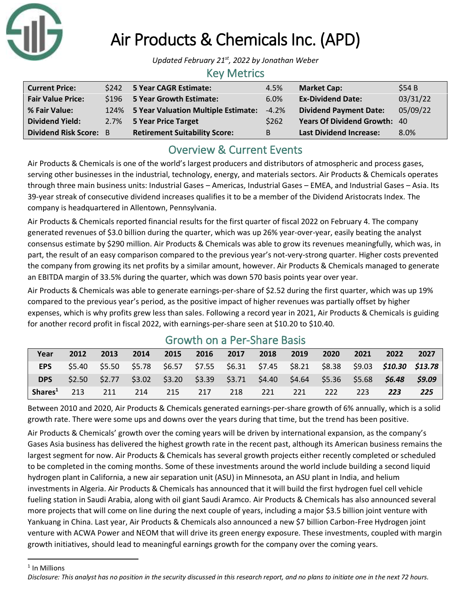

# Air Products & Chemicals Inc. (APD)

*Updated February 21st, 2022 by Jonathan Weber*

#### Key Metrics

| <b>Current Price:</b>         | \$242 5 Year CAGR Estimate:              | 4.5%    | <b>Market Cap:</b>                  | \$54B    |
|-------------------------------|------------------------------------------|---------|-------------------------------------|----------|
| <b>Fair Value Price:</b>      | \$196 5 Year Growth Estimate:            | 6.0%    | <b>Ex-Dividend Date:</b>            | 03/31/22 |
| % Fair Value:                 | 124% 5 Year Valuation Multiple Estimate: | $-4.2%$ | <b>Dividend Payment Date:</b>       | 05/09/22 |
| <b>Dividend Yield:</b>        | 2.7% 5 Year Price Target                 | \$262   | <b>Years Of Dividend Growth: 40</b> |          |
| <b>Dividend Risk Score: B</b> | <b>Retirement Suitability Score:</b>     | B       | <b>Last Dividend Increase:</b>      | 8.0%     |

# Overview & Current Events

Air Products & Chemicals is one of the world's largest producers and distributors of atmospheric and process gases, serving other businesses in the industrial, technology, energy, and materials sectors. Air Products & Chemicals operates through three main business units: Industrial Gases – Americas, Industrial Gases – EMEA, and Industrial Gases – Asia. Its 39-year streak of consecutive dividend increases qualifies it to be a member of the Dividend Aristocrats Index. The company is headquartered in Allentown, Pennsylvania.

Air Products & Chemicals reported financial results for the first quarter of fiscal 2022 on February 4. The company generated revenues of \$3.0 billion during the quarter, which was up 26% year-over-year, easily beating the analyst consensus estimate by \$290 million. Air Products & Chemicals was able to grow its revenues meaningfully, which was, in part, the result of an easy comparison compared to the previous year's not-very-strong quarter. Higher costs prevented the company from growing its net profits by a similar amount, however. Air Products & Chemicals managed to generate an EBITDA margin of 33.5% during the quarter, which was down 570 basis points year over year.

Air Products & Chemicals was able to generate earnings-per-share of \$2.52 during the first quarter, which was up 19% compared to the previous year's period, as the positive impact of higher revenues was partially offset by higher expenses, which is why profits grew less than sales. Following a record year in 2021, Air Products & Chemicals is guiding for another record profit in fiscal 2022, with earnings-per-share seen at \$10.20 to \$10.40.

| Year                | 2012   | 2013 | 2014 | 2015 | 2016 | 2017 | 2018 | 2019 | 2020 | 2021 | 2022                                                                                           | 2027   |
|---------------------|--------|------|------|------|------|------|------|------|------|------|------------------------------------------------------------------------------------------------|--------|
| <b>EPS</b>          | \$5.40 |      |      |      |      |      |      |      |      |      | \$5.50  \$5.78  \$6.57  \$7.55  \$6.31  \$7.45  \$8.21  \$8.38  \$9.03 <b>\$10.30  \$13.78</b> |        |
| <b>DPS</b>          | \$2.50 |      |      |      |      |      |      |      |      |      | \$2.77  \$3.02  \$3.20  \$3.39  \$3.71  \$4.40  \$4.64  \$5.36  \$5.68 <b>\$6.48</b>           | \$9.09 |
| Shares <sup>1</sup> | 213    | 211  | 214  | 215  | 217  | 218  | 221  | 221  | 222  | 223  | 223                                                                                            | 225    |

### Growth on a Per-Share Basis

Between 2010 and 2020, Air Products & Chemicals generated earnings-per-share growth of 6% annually, which is a solid growth rate. There were some ups and downs over the years during that time, but the trend has been positive.

Air Products & Chemicals' growth over the coming years will be driven by international expansion, as the company's Gases Asia business has delivered the highest growth rate in the recent past, although its American business remains the largest segment for now. Air Products & Chemicals has several growth projects either recently completed or scheduled to be completed in the coming months. Some of these investments around the world include building a second liquid hydrogen plant in California, a new air separation unit (ASU) in Minnesota, an ASU plant in India, and helium investments in Algeria. Air Products & Chemicals has announced that it will build the first hydrogen fuel cell vehicle fueling station in Saudi Arabia, along with oil giant Saudi Aramco. Air Products & Chemicals has also announced several more projects that will come on line during the next couple of years, including a major \$3.5 billion joint venture with Yankuang in China. Last year, Air Products & Chemicals also announced a new \$7 billion Carbon-Free Hydrogen joint venture with ACWA Power and NEOM that will drive its green energy exposure. These investments, coupled with margin growth initiatives, should lead to meaningful earnings growth for the company over the coming years.

<sup>1</sup> In Millions

*Disclosure: This analyst has no position in the security discussed in this research report, and no plans to initiate one in the next 72 hours.*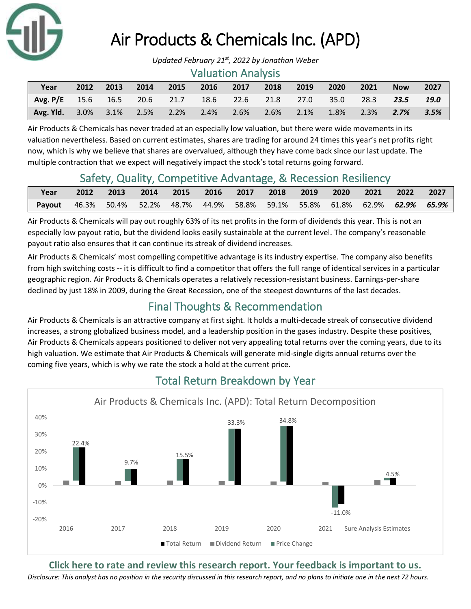

# Air Products & Chemicals Inc. (APD)

#### Valuation Analysis

| Year                                                                  | 2012 | 2013 | 2014 | 2015 | 2016 | 2017 | 2018 | 2019 | 2020              | 2021 | <b>Now</b> | 2027 |
|-----------------------------------------------------------------------|------|------|------|------|------|------|------|------|-------------------|------|------------|------|
| $\sqrt{7}$ Avg. P/E 15.6 16.5 20.6 21.7 18.6 22.6 21.8 27.0 35.0 28.3 |      |      |      |      |      |      |      |      |                   |      | 23.5       | 19.0 |
| <b>Avg. Yid.</b> $3.0\%$ $3.1\%$ $2.5\%$ $2.2\%$ $2.4\%$              |      |      |      |      |      | 2.6% | 2.6% |      | $2.1\%$ 1.8% 2.3% |      | 2.7%       | 3.5% |

Air Products & Chemicals has never traded at an especially low valuation, but there were wide movements in its valuation nevertheless. Based on current estimates, shares are trading for around 24 times this year's net profits right now, which is why we believe that shares are overvalued, although they have come back since our last update. The multiple contraction that we expect will negatively impact the stock's total returns going forward.

### Safety, Quality, Competitive Advantage, & Recession Resiliency

| Year                                                                           |  | 2012 2013 2014 2015 2016 2017 2018 2019 2020 2021 2022 2027 |  |  |  |  |  |
|--------------------------------------------------------------------------------|--|-------------------------------------------------------------|--|--|--|--|--|
| Payout 46.3% 50.4% 52.2% 48.7% 44.9% 58.8% 59.1% 55.8% 61.8% 62.9% 62.9% 65.9% |  |                                                             |  |  |  |  |  |

Air Products & Chemicals will pay out roughly 63% of its net profits in the form of dividends this year. This is not an especially low payout ratio, but the dividend looks easily sustainable at the current level. The company's reasonable payout ratio also ensures that it can continue its streak of dividend increases.

Air Products & Chemicals' most compelling competitive advantage is its industry expertise. The company also benefits from high switching costs -- it is difficult to find a competitor that offers the full range of identical services in a particular geographic region. Air Products & Chemicals operates a relatively recession-resistant business. Earnings-per-share declined by just 18% in 2009, during the Great Recession, one of the steepest downturns of the last decades.

# Final Thoughts & Recommendation

Air Products & Chemicals is an attractive company at first sight. It holds a multi-decade streak of consecutive dividend increases, a strong globalized business model, and a leadership position in the gases industry. Despite these positives, Air Products & Chemicals appears positioned to deliver not very appealing total returns over the coming years, due to its high valuation. We estimate that Air Products & Chemicals will generate mid-single digits annual returns over the coming five years, which is why we rate the stock a hold at the current price.



## Total Return Breakdown by Year

**[Click here to rate and review this research report. Your feedback is important to us.](https://suredividend.typeform.com/to/cs7Wce/)**

*Disclosure: This analyst has no position in the security discussed in this research report, and no plans to initiate one in the next 72 hours.*

*Updated February 21st, 2022 by Jonathan Weber*